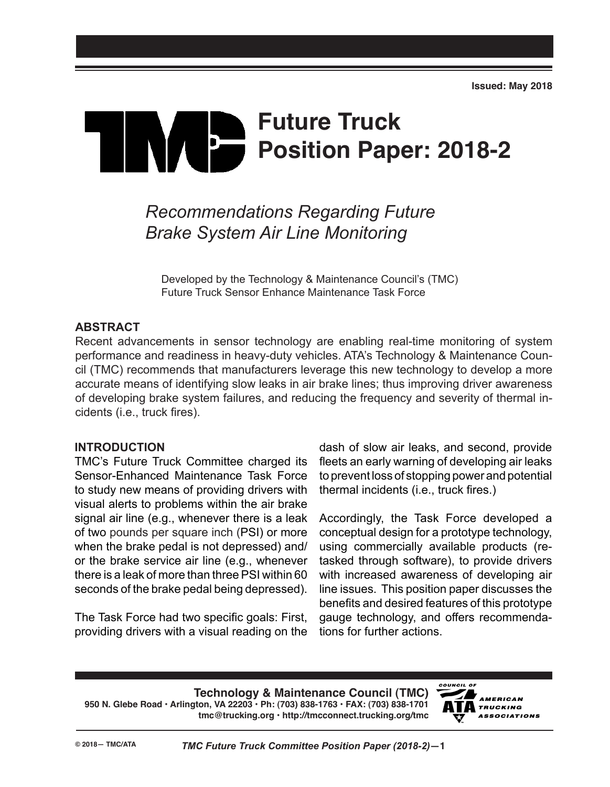# **Future Truck Position Paper: 2018-2**

# *Recommendations Regarding Future Brake System Air Line Monitoring*

Developed by the Technology & Maintenance Council's (TMC) Future Truck Sensor Enhance Maintenance Task Force

#### **ABSTRACT**

Recent advancements in sensor technology are enabling real-time monitoring of system performance and readiness in heavy-duty vehicles. ATA's Technology & Maintenance Council (TMC) recommends that manufacturers leverage this new technology to develop a more accurate means of identifying slow leaks in air brake lines; thus improving driver awareness of developing brake system failures, and reducing the frequency and severity of thermal incidents (i.e., truck fires).

#### **INTRODUCTION**

TMC's Future Truck Committee charged its Sensor-Enhanced Maintenance Task Force to study new means of providing drivers with visual alerts to problems within the air brake signal air line (e.g., whenever there is a leak of two pounds per square inch (PSI) or more when the brake pedal is not depressed) and/ or the brake service air line (e.g., whenever there is a leak of more than three PSI within 60 seconds of the brake pedal being depressed).

The Task Force had two specific goals: First, providing drivers with a visual reading on the dash of slow air leaks, and second, provide fleets an early warning of developing air leaks to prevent loss of stopping power and potential thermal incidents (i.e., truck fires.)

Accordingly, the Task Force developed a conceptual design for a prototype technology, using commercially available products (retasked through software), to provide drivers with increased awareness of developing air line issues. This position paper discusses the benefits and desired features of this prototype gauge technology, and offers recommendations for further actions.

**Technology & Maintenance Council (TMC) 950 N. Glebe Road • Arlington, VA 22203 • Ph: (703) 838-1763 • FAX: (703) 838-1701 tmc@trucking.org • http://tmcconnect.trucking.org/tmc**

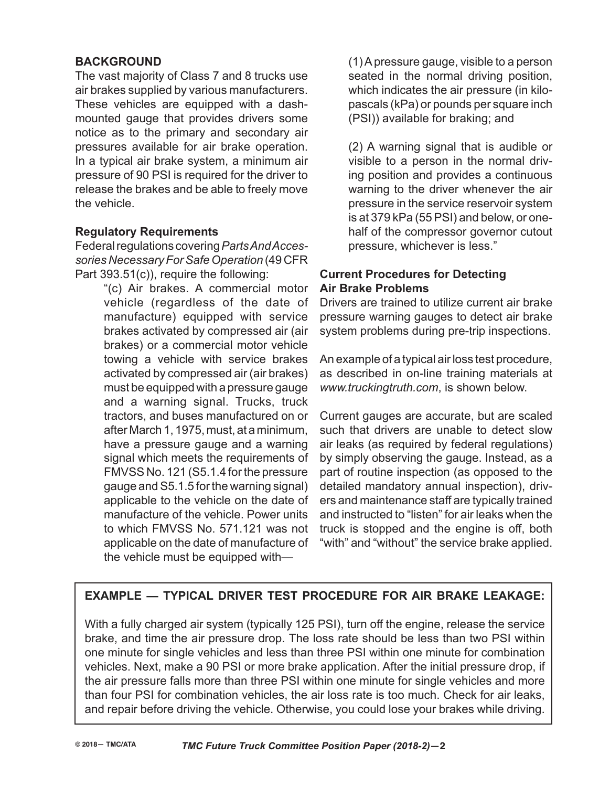## **BACKGROUND**

The vast majority of Class 7 and 8 trucks use air brakes supplied by various manufacturers. These vehicles are equipped with a dashmounted gauge that provides drivers some notice as to the primary and secondary air pressures available for air brake operation. In a typical air brake system, a minimum air pressure of 90 PSI is required for the driver to release the brakes and be able to freely move the vehicle.

#### **Regulatory Requirements**

Federal regulations covering *Parts And Accessories Necessary For Safe Operation* (49 CFR Part 393.51(c)), require the following:

"(c) Air brakes. A commercial motor vehicle (regardless of the date of manufacture) equipped with service brakes activated by compressed air (air brakes) or a commercial motor vehicle towing a vehicle with service brakes activated by compressed air (air brakes) must be equipped with a pressure gauge and a warning signal. Trucks, truck tractors, and buses manufactured on or after March 1, 1975, must, at a minimum, have a pressure gauge and a warning signal which meets the requirements of FMVSS No. 121 (S5.1.4 for the pressure gauge and S5.1.5 for the warning signal) applicable to the vehicle on the date of manufacture of the vehicle. Power units to which FMVSS No. 571.121 was not applicable on the date of manufacture of the vehicle must be equipped with(1) A pressure gauge, visible to a person seated in the normal driving position, which indicates the air pressure (in kilopascals (kPa) or pounds per square inch (PSI)) available for braking; and

(2) A warning signal that is audible or visible to a person in the normal driving position and provides a continuous warning to the driver whenever the air pressure in the service reservoir system is at 379 kPa (55 PSI) and below, or onehalf of the compressor governor cutout pressure, whichever is less."

#### **Current Procedures for Detecting Air Brake Problems**

Drivers are trained to utilize current air brake pressure warning gauges to detect air brake system problems during pre-trip inspections.

An example of a typical air loss test procedure, as described in on-line training materials at *www.truckingtruth.com*, is shown below.

Current gauges are accurate, but are scaled such that drivers are unable to detect slow air leaks (as required by federal regulations) by simply observing the gauge. Instead, as a part of routine inspection (as opposed to the detailed mandatory annual inspection), drivers and maintenance staff are typically trained and instructed to "listen" for air leaks when the truck is stopped and the engine is off, both "with" and "without" the service brake applied.

## **EXAMPLE — TYPICAL DRIVER TEST PROCEDURE FOR AIR BRAKE LEAKAGE:**

With a fully charged air system (typically 125 PSI), turn off the engine, release the service brake, and time the air pressure drop. The loss rate should be less than two PSI within one minute for single vehicles and less than three PSI within one minute for combination vehicles. Next, make a 90 PSI or more brake application. After the initial pressure drop, if the air pressure falls more than three PSI within one minute for single vehicles and more than four PSI for combination vehicles, the air loss rate is too much. Check for air leaks, and repair before driving the vehicle. Otherwise, you could lose your brakes while driving.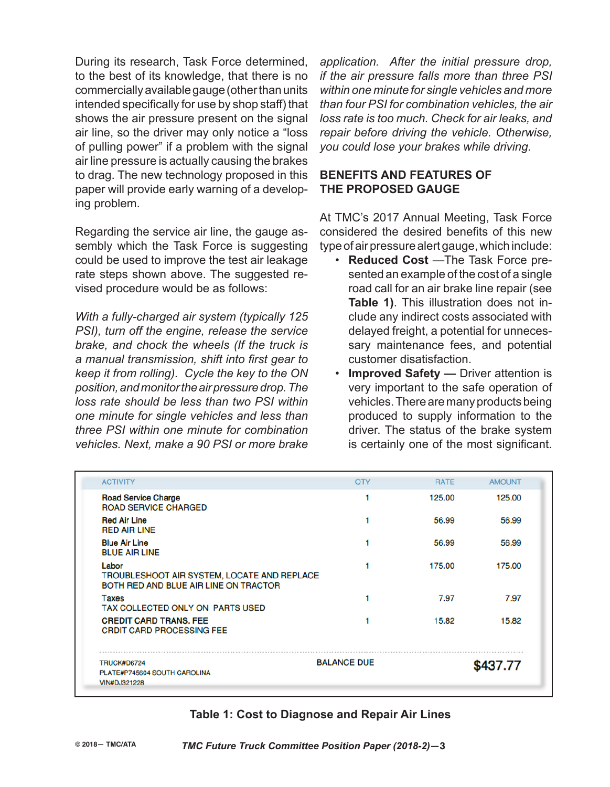During its research, Task Force determined, to the best of its knowledge, that there is no commercially available gauge (other than units intended specifically for use by shop staff) that shows the air pressure present on the signal air line, so the driver may only notice a "loss of pulling power" if a problem with the signal air line pressure is actually causing the brakes to drag. The new technology proposed in this paper will provide early warning of a developing problem.

Regarding the service air line, the gauge assembly which the Task Force is suggesting could be used to improve the test air leakage rate steps shown above. The suggested revised procedure would be as follows:

*With a fully-charged air system (typically 125 PSI), turn off the engine, release the service brake, and chock the wheels (If the truck is a manual transmission, shift into first gear to keep it from rolling). Cycle the key to the ON position, and monitor the air pressure drop. The loss rate should be less than two PSI within one minute for single vehicles and less than three PSI within one minute for combination vehicles. Next, make a 90 PSI or more brake* 

*application. After the initial pressure drop, if the air pressure falls more than three PSI within one minute for single vehicles and more than four PSI for combination vehicles, the air loss rate is too much. Check for air leaks, and repair before driving the vehicle. Otherwise, you could lose your brakes while driving.*

#### **BENEFITS AND FEATURES OF THE PROPOSED GAUGE**

At TMC's 2017 Annual Meeting, Task Force considered the desired benefits of this new type of air pressure alert gauge, which include:

- **Reduced Cost** —The Task Force presented an example of the cost of a single road call for an air brake line repair (see **Table 1)**. This illustration does not include any indirect costs associated with delayed freight, a potential for unnecessary maintenance fees, and potential customer disatisfaction.
- **Improved Safety** Driver attention is very important to the safe operation of vehicles. There are many products being produced to supply information to the driver. The status of the brake system is certainly one of the most significant.

| <b>ACTIVITY</b>                                                                                      | <b>QTY</b>         | <b>RATE</b> | <b>AMOUNT</b> |  |
|------------------------------------------------------------------------------------------------------|--------------------|-------------|---------------|--|
| <b>Road Service Charge</b><br><b>ROAD SERVICE CHARGED</b>                                            |                    | 125.00      | 125.00        |  |
| <b>Red Air Line</b><br><b>RED AIR LINE</b>                                                           |                    | 56.99       | 56.99         |  |
| <b>Blue Air Line</b><br><b>BLUE AIR LINE</b>                                                         |                    | 56.99       | 56.99         |  |
| Labor<br><b>TROUBLESHOOT AIR SYSTEM, LOCATE AND REPLACE</b><br>BOTH RED AND BLUE AIR LINE ON TRACTOR |                    | 175.00      | 175.00        |  |
| Taxes<br>TAX COLLECTED ONLY ON PARTS USED                                                            |                    | 7.97        | 7.97          |  |
| <b>CREDIT CARD TRANS, FEE</b><br><b>CRDIT CARD PROCESSING FEE</b>                                    |                    | 15.82       | 15.82         |  |
| <b>TRUCK#D6724</b>                                                                                   | <b>BALANCE DUE</b> |             | \$437.77      |  |
| PLATE#P745604 SOUTH CAROLINA<br><b>VIN#DJ321228</b>                                                  |                    |             |               |  |

#### **Table 1: Cost to Diagnose and Repair Air Lines**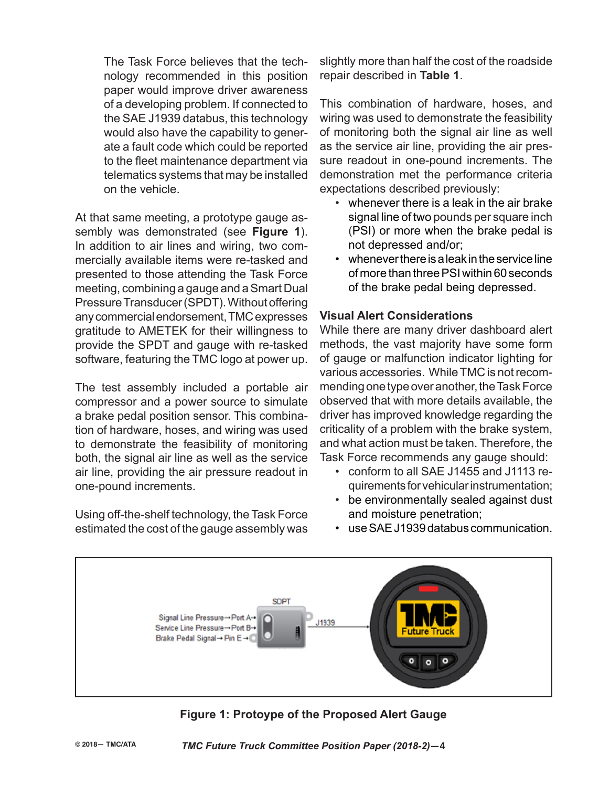The Task Force believes that the technology recommended in this position paper would improve driver awareness of a developing problem. If connected to the SAE J1939 databus, this technology would also have the capability to generate a fault code which could be reported to the fleet maintenance department via telematics systems that may be installed on the vehicle.

At that same meeting, a prototype gauge assembly was demonstrated (see **Figure 1**). In addition to air lines and wiring, two commercially available items were re-tasked and presented to those attending the Task Force meeting, combining a gauge and a Smart Dual Pressure Transducer (SPDT). Without offering any commercial endorsement, TMC expresses gratitude to AMETEK for their willingness to provide the SPDT and gauge with re-tasked software, featuring the TMC logo at power up.

The test assembly included a portable air compressor and a power source to simulate a brake pedal position sensor. This combination of hardware, hoses, and wiring was used to demonstrate the feasibility of monitoring both, the signal air line as well as the service air line, providing the air pressure readout in one-pound increments.

Using off-the-shelf technology, the Task Force estimated the cost of the gauge assembly was slightly more than half the cost of the roadside repair described in **Table 1**.

This combination of hardware, hoses, and wiring was used to demonstrate the feasibility of monitoring both the signal air line as well as the service air line, providing the air pressure readout in one-pound increments. The demonstration met the performance criteria expectations described previously:

- whenever there is a leak in the air brake signal line of two pounds per square inch (PSI) or more when the brake pedal is not depressed and/or;
- whenever there is a leak in the service line of more than three PSI within 60 seconds of the brake pedal being depressed.

#### **Visual Alert Considerations**

While there are many driver dashboard alert methods, the vast majority have some form of gauge or malfunction indicator lighting for various accessories. While TMC is not recommending one type over another, the Task Force observed that with more details available, the driver has improved knowledge regarding the criticality of a problem with the brake system, and what action must be taken. Therefore, the Task Force recommends any gauge should:

- conform to all SAE J1455 and J1113 requirements for vehicular instrumentation;
- be environmentally sealed against dust and moisture penetration;



**Figure 1: Protoype of the Proposed Alert Gauge**

• use SAE J1939 databus communication.